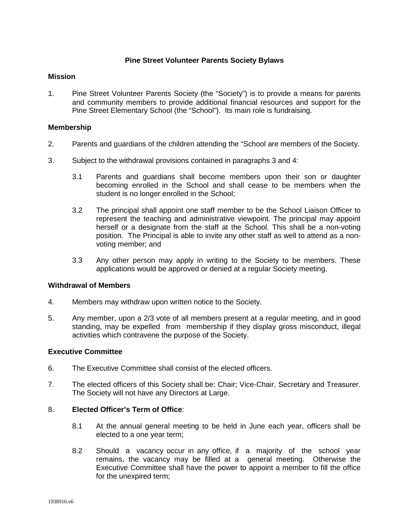# **Pine Street Volunteer Parents Society Bylaws**

## **Mission**

1. Pine Street Volunteer Parents Society (the "Society") is to provide a means for parents and community members to provide additional financial resources and support for the Pine Street Elementary School (the "School"). Its main role is fundraising.

## **Membership**

- 2. Parents and guardians of the children attending the "School are members of the Society.
- 3. Subject to the withdrawal provisions contained in paragraphs 3 and 4:
	- 3.1 Parents and guardians shall become members upon their son or daughter becoming enrolled in the School and shall cease to be members when the student is no longer enrolled in the School;
	- 3.2 The principal shall appoint one staff member to be the School Liaison Officer to represent the teaching and administrative viewpoint. The principal may appoint herself or a designate from the staff at the School. This shall be a non-voting position. The Principal is able to invite any other staff as well to attend as a nonvoting member; and
	- 3.3 Any other person may apply in writing to the Society to be members. These applications would be approved or denied at a regular Society meeting.

#### **Withdrawal of Members**

- 4. Members may withdraw upon written notice to the Society.
- 5. Any member, upon a 2/3 vote of all members present at a regular meeting, and in good standing, may be expelled from membership if they display gross misconduct, illegal activities which contravene the purpose of the Society.

#### **Executive Committee**

- 6. The Executive Committee shall consist of the elected officers.
- 7. The elected officers of this Society shall be: Chair; Vice-Chair, Secretary and Treasurer. The Society will not have any Directors at Large.

## 8. **Elected Officer's Term of Office**:

- 8.1 At the annual general meeting to be held in June each year, officers shall be elected to a one year term;
- 8.2 Should a vacancy occur in any office, if a majority of the school year remains, the vacancy may be filled at a general meeting. Otherwise the Executive Committee shall have the power to appoint a member to fill the office for the unexpired term;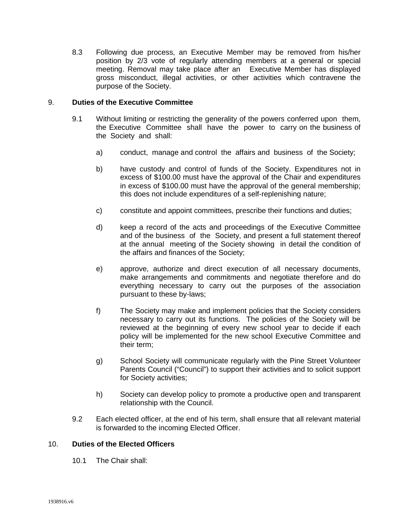8.3 Following due process, an Executive Member may be removed from his/her position by 2/3 vote of regularly attending members at a general or special meeting. Removal may take place after an Executive Member has displayed gross misconduct, illegal activities, or other activities which contravene the purpose of the Society.

## 9. **Duties of the Executive Committee**

- 9.1 Without limiting or restricting the generality of the powers conferred upon them, the Executive Committee shall have the power to carry on the business of the Society and shall:
	- a) conduct, manage and control the affairs and business of the Society;
	- b) have custody and control of funds of the Society. Expenditures not in excess of \$100.00 must have the approval of the Chair and expenditures in excess of \$100.00 must have the approval of the general membership; this does not include expenditures of a self-replenishing nature;
	- c) constitute and appoint committees, prescribe their functions and duties;
	- d) keep a record of the acts and proceedings of the Executive Committee and of the business of the Society, and present a full statement thereof at the annual meeting of the Society showing in detail the condition of the affairs and finances of the Society;
	- e) approve, authorize and direct execution of all necessary documents, make arrangements and commitments and negotiate therefore and do everything necessary to carry out the purposes of the association pursuant to these by-laws;
	- f) The Society may make and implement policies that the Society considers necessary to carry out its functions. The policies of the Society will be reviewed at the beginning of every new school year to decide if each policy will be implemented for the new school Executive Committee and their term;
	- g) School Society will communicate regularly with the Pine Street Volunteer Parents Council ("Council") to support their activities and to solicit support for Society activities;
	- h) Society can develop policy to promote a productive open and transparent relationship with the Council.
- 9.2 Each elected officer, at the end of his term, shall ensure that all relevant material is forwarded to the incoming Elected Officer.

#### 10. **Duties of the Elected Officers**

10.1 The Chair shall: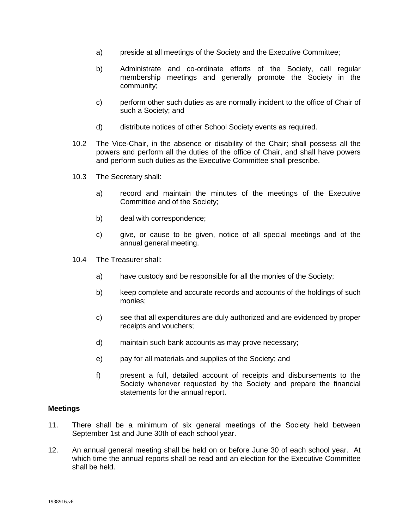- a) preside at all meetings of the Society and the Executive Committee;
- b) Administrate and co-ordinate efforts of the Society, call regular membership meetings and generally promote the Society in the community;
- c) perform other such duties as are normally incident to the office of Chair of such a Society; and
- d) distribute notices of other School Society events as required.
- 10.2 The Vice-Chair, in the absence or disability of the Chair; shall possess all the powers and perform all the duties of the office of Chair, and shall have powers and perform such duties as the Executive Committee shall prescribe.
- 10.3 The Secretary shall:
	- a) record and maintain the minutes of the meetings of the Executive Committee and of the Society;
	- b) deal with correspondence;
	- c) give, or cause to be given, notice of all special meetings and of the annual general meeting.
- 10.4 The Treasurer shall:
	- a) have custody and be responsible for all the monies of the Society;
	- b) keep complete and accurate records and accounts of the holdings of such monies;
	- c) see that all expenditures are duly authorized and are evidenced by proper receipts and vouchers;
	- d) maintain such bank accounts as may prove necessary;
	- e) pay for all materials and supplies of the Society; and
	- f) present a full, detailed account of receipts and disbursements to the Society whenever requested by the Society and prepare the financial statements for the annual report.

#### **Meetings**

- 11. There shall be a minimum of six general meetings of the Society held between September 1st and June 30th of each school year.
- 12. An annual general meeting shall be held on or before June 30 of each school year. At which time the annual reports shall be read and an election for the Executive Committee shall be held.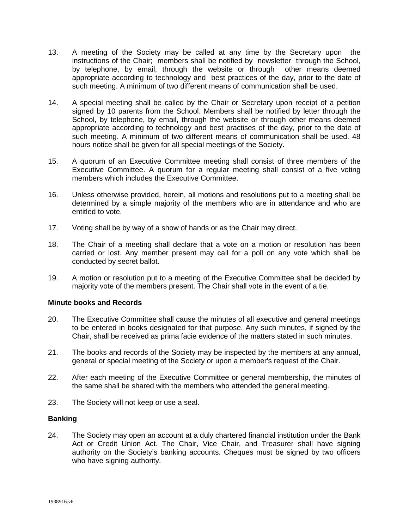- 13. A meeting of the Society may be called at any time by the Secretary upon the instructions of the Chair; members shall be notified by newsletter through the School, by telephone, by email, through the website or through other means deemed appropriate according to technology and best practices of the day, prior to the date of such meeting. A minimum of two different means of communication shall be used.
- 14. A special meeting shall be called by the Chair or Secretary upon receipt of a petition signed by 10 parents from the School. Members shall be notified by letter through the School, by telephone, by email, through the website or through other means deemed appropriate according to technology and best practises of the day, prior to the date of such meeting. A minimum of two different means of communication shall be used. 48 hours notice shall be given for all special meetings of the Society.
- 15. A quorum of an Executive Committee meeting shall consist of three members of the Executive Committee. A quorum for a regular meeting shall consist of a five voting members which includes the Executive Committee.
- 16. Unless otherwise provided, herein, all motions and resolutions put to a meeting shall be determined by a simple majority of the members who are in attendance and who are entitled to vote.
- 17. Voting shall be by way of a show of hands or as the Chair may direct.
- 18. The Chair of a meeting shall declare that a vote on a motion or resolution has been carried or lost. Any member present may call for a poll on any vote which shall be conducted by secret ballot.
- 19. A motion or resolution put to a meeting of the Executive Committee shall be decided by majority vote of the members present. The Chair shall vote in the event of a tie.

# **Minute books and Records**

- 20. The Executive Committee shall cause the minutes of all executive and general meetings to be entered in books designated for that purpose. Any such minutes, if signed by the Chair, shall be received as prima facie evidence of the matters stated in such minutes.
- 21. The books and records of the Society may be inspected by the members at any annual, general or special meeting of the Society or upon a member's request of the Chair.
- 22. After each meeting of the Executive Committee or general membership, the minutes of the same shall be shared with the members who attended the general meeting.
- 23. The Society will not keep or use a seal.

#### **Banking**

24. The Society may open an account at a duly chartered financial institution under the Bank Act or Credit Union Act. The Chair, Vice Chair, and Treasurer shall have signing authority on the Society's banking accounts. Cheques must be signed by two officers who have signing authority.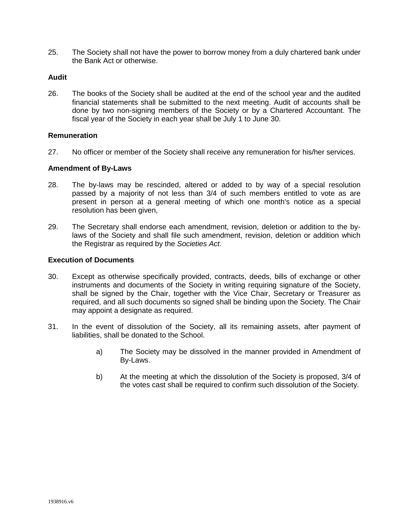25. The Society shall not have the power to borrow money from a duly chartered bank under the Bank Act or otherwise.

# **Audit**

26. The books of the Society shall be audited at the end of the school year and the audited financial statements shall be submitted to the next meeting. Audit of accounts shall be done by two non-signing members of the Society or by a Chartered Accountant. The fiscal year of the Society in each year shall be July 1 to June 30.

#### **Remuneration**

27. No officer or member of the Society shall receive any remuneration for his/her services.

#### **Amendment of By-Laws**

- 28. The by-laws may be rescinded, altered or added to by way of a special resolution passed by a majority of not less than 3/4 of such members entitled to vote as are present in person at a general meeting of which one month's notice as a special resolution has been given,
- 29. The Secretary shall endorse each amendment, revision, deletion or addition to the bylaws of the Society and shall file such amendment, revision, deletion or addition which the Registrar as required by the *Societies Act*.

#### **Execution of Documents**

- 30. Except as otherwise specifically provided, contracts, deeds, bills of exchange or other instruments and documents of the Society in writing requiring signature of the Society, shall be signed by the Chair, together with the Vice Chair, Secretary or Treasurer as required, and all such documents so signed shall be binding upon the Society. The Chair may appoint a designate as required.
- 31. In the event of dissolution of the Society, all its remaining assets, after payment of liabilities, shall be donated to the School.
	- a) The Society may be dissolved in the manner provided in Amendment of By-Laws.
	- b) At the meeting at which the dissolution of the Society is proposed, 3/4 of the votes cast shall be required to confirm such dissolution of the Society.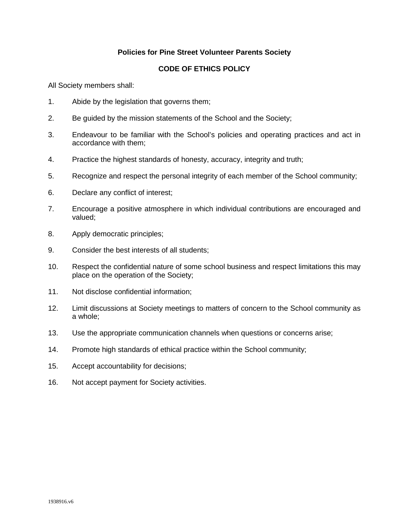# **Policies for Pine Street Volunteer Parents Society**

# **CODE OF ETHICS POLICY**

All Society members shall:

- 1. Abide by the legislation that governs them;
- 2. Be guided by the mission statements of the School and the Society;
- 3. Endeavour to be familiar with the School's policies and operating practices and act in accordance with them;
- 4. Practice the highest standards of honesty, accuracy, integrity and truth;
- 5. Recognize and respect the personal integrity of each member of the School community;
- 6. Declare any conflict of interest;
- 7. Encourage a positive atmosphere in which individual contributions are encouraged and valued;
- 8. Apply democratic principles;
- 9. Consider the best interests of all students;
- 10. Respect the confidential nature of some school business and respect limitations this may place on the operation of the Society;
- 11. Not disclose confidential information;
- 12. Limit discussions at Society meetings to matters of concern to the School community as a whole;
- 13. Use the appropriate communication channels when questions or concerns arise;
- 14. Promote high standards of ethical practice within the School community;
- 15. Accept accountability for decisions;
- 16. Not accept payment for Society activities.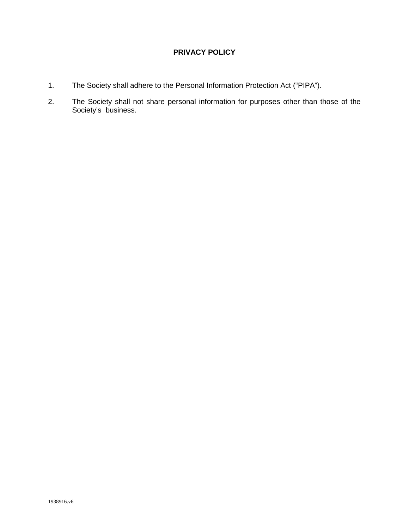# **PRIVACY POLICY**

- 1. The Society shall adhere to the Personal Information Protection Act ("PIPA").
- 2. The Society shall not share personal information for purposes other than those of the Society's business.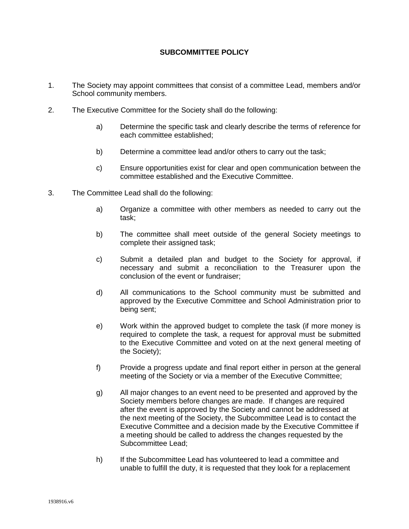# **SUBCOMMITTEE POLICY**

- 1. The Society may appoint committees that consist of a committee Lead, members and/or School community members.
- 2. The Executive Committee for the Society shall do the following:
	- a) Determine the specific task and clearly describe the terms of reference for each committee established;
	- b) Determine a committee lead and/or others to carry out the task;
	- c) Ensure opportunities exist for clear and open communication between the committee established and the Executive Committee.
- 3. The Committee Lead shall do the following:
	- a) Organize a committee with other members as needed to carry out the task;
	- b) The committee shall meet outside of the general Society meetings to complete their assigned task;
	- c) Submit a detailed plan and budget to the Society for approval, if necessary and submit a reconciliation to the Treasurer upon the conclusion of the event or fundraiser;
	- d) All communications to the School community must be submitted and approved by the Executive Committee and School Administration prior to being sent;
	- e) Work within the approved budget to complete the task (if more money is required to complete the task, a request for approval must be submitted to the Executive Committee and voted on at the next general meeting of the Society);
	- f) Provide a progress update and final report either in person at the general meeting of the Society or via a member of the Executive Committee;
	- g) All major changes to an event need to be presented and approved by the Society members before changes are made. If changes are required after the event is approved by the Society and cannot be addressed at the next meeting of the Society, the Subcommittee Lead is to contact the Executive Committee and a decision made by the Executive Committee if a meeting should be called to address the changes requested by the Subcommittee Lead;
	- h) If the Subcommittee Lead has volunteered to lead a committee and unable to fulfill the duty, it is requested that they look for a replacement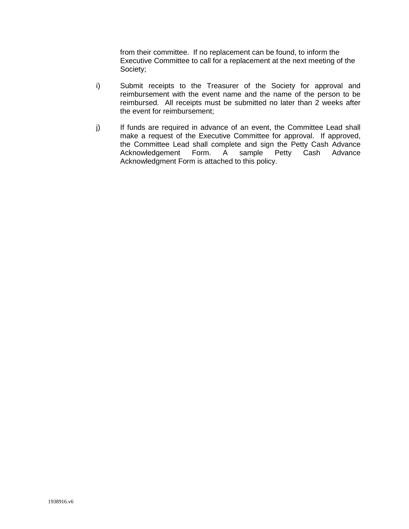from their committee. If no replacement can be found, to inform the Executive Committee to call for a replacement at the next meeting of the Society;

- i) Submit receipts to the Treasurer of the Society for approval and reimbursement with the event name and the name of the person to be reimbursed. All receipts must be submitted no later than 2 weeks after the event for reimbursement;
- j) If funds are required in advance of an event, the Committee Lead shall make a request of the Executive Committee for approval. If approved, the Committee Lead shall complete and sign the Petty Cash Advance<br>Acknowledgement Form. A sample Petty Cash Advance Petty Cash Advance Acknowledgment Form is attached to this policy.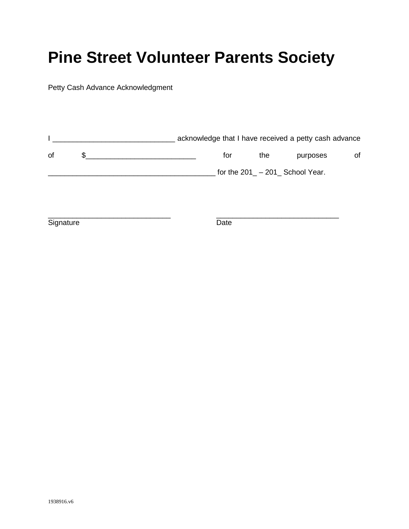# **Pine Street Volunteer Parents Society**

Petty Cash Advance Acknowledgment

|    | acknowledge that I have received a petty cash advance |                                  |          |    |
|----|-------------------------------------------------------|----------------------------------|----------|----|
| 0f | for                                                   | the                              | purposes | οf |
|    |                                                       | for the $201 - 201$ School Year. |          |    |

\_\_\_\_\_\_\_\_\_\_\_\_\_\_\_\_\_\_\_\_\_\_\_\_\_\_\_\_\_\_ \_\_\_\_\_\_\_\_\_\_\_\_\_\_\_\_\_\_\_\_\_\_\_\_\_\_\_\_\_\_ Signature Date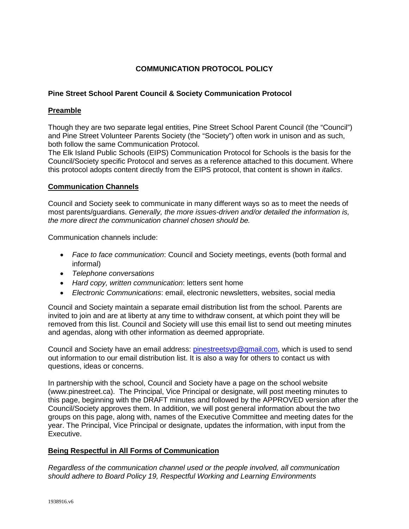# **COMMUNICATION PROTOCOL POLICY**

# **Pine Street School Parent Council & Society Communication Protocol**

## **Preamble**

Though they are two separate legal entities, Pine Street School Parent Council (the "Council") and Pine Street Volunteer Parents Society (the "Society") often work in unison and as such, both follow the same Communication Protocol.

The Elk Island Public Schools (EIPS) Communication Protocol for Schools is the basis for the Council/Society specific Protocol and serves as a reference attached to this document. Where this protocol adopts content directly from the EIPS protocol, that content is shown in *italics*.

## **Communication Channels**

Council and Society seek to communicate in many different ways so as to meet the needs of most parents/guardians. *Generally, the more issues-driven and/or detailed the information is, the more direct the communication channel chosen should be.* 

Communication channels include:

- *Face to face communication*: Council and Society meetings, events (both formal and informal)
- *Telephone conversations*
- *Hard copy, written communication*: letters sent home
- *Electronic Communications*: email, electronic newsletters, websites, social media

Council and Society maintain a separate email distribution list from the school. Parents are invited to join and are at liberty at any time to withdraw consent, at which point they will be removed from this list. Council and Society will use this email list to send out meeting minutes and agendas, along with other information as deemed appropriate.

Council and Society have an email address: [pinestreetsvp@gmail.com,](mailto:pinestreetsvp@gmail.com) which is used to send out information to our email distribution list. It is also a way for others to contact us with questions, ideas or concerns.

In partnership with the school, Council and Society have a page on the school website (www.pinestreet.ca). The Principal, Vice Principal or designate, will post meeting minutes to this page, beginning with the DRAFT minutes and followed by the APPROVED version after the Council/Society approves them. In addition, we will post general information about the two groups on this page, along with, names of the Executive Committee and meeting dates for the year. The Principal, Vice Principal or designate, updates the information, with input from the Executive.

# **Being Respectful in All Forms of Communication**

*Regardless of the communication channel used or the people involved, all communication should adhere to Board Policy 19, Respectful Working and Learning Environments*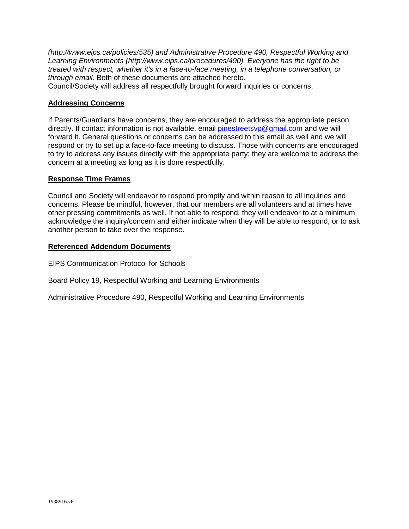*(http://www.eips.ca/policies/535) and Administrative Procedure 490, Respectful Working and Learning Environments (http://www.eips.ca/procedures/490). Everyone has the right to be treated with respect, whether it's in a face-to-face meeting, in a telephone conversation, or through email.* Both of these documents are attached hereto.

Council/Society will address all respectfully brought forward inquiries or concerns.

# **Addressing Concerns**

If Parents/Guardians have concerns, they are encouraged to address the appropriate person directly. If contact information is not available, email [pinestreetsvp@gmail.com](mailto:WestboroParents@gmail.com) and we will forward it. General questions or concerns can be addressed to this email as well and we will respond or try to set up a face-to-face meeting to discuss. Those with concerns are encouraged to try to address any issues directly with the appropriate party; they are welcome to address the concern at a meeting as long as it is done respectfully.

## **Response Time Frames**

Council and Society will endeavor to respond promptly and within reason to all inquiries and concerns. Please be mindful, however, that our members are all volunteers and at times have other pressing commitments as well. If not able to respond, they will endeavor to at a minimum acknowledge the inquiry/concern and either indicate when they will be able to respond, or to ask another person to take over the response.

#### **Referenced Addendum Documents**

EIPS Communication Protocol for Schools

Board Policy 19, Respectful Working and Learning Environments

Administrative Procedure 490, Respectful Working and Learning Environments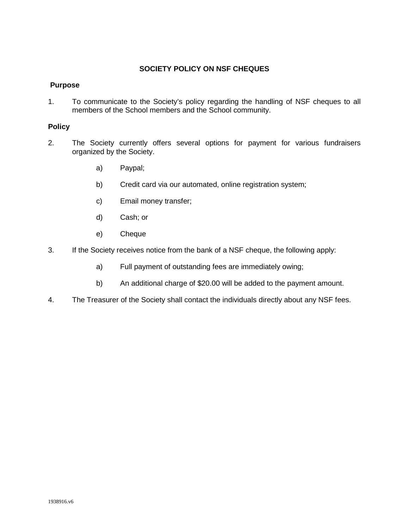# **SOCIETY POLICY ON NSF CHEQUES**

## **Purpose**

1. To communicate to the Society's policy regarding the handling of NSF cheques to all members of the School members and the School community.

# **Policy**

- 2. The Society currently offers several options for payment for various fundraisers organized by the Society.
	- a) Paypal;
	- b) Credit card via our automated, online registration system;
	- c) Email money transfer;
	- d) Cash; or
	- e) Cheque
- 3. If the Society receives notice from the bank of a NSF cheque, the following apply:
	- a) Full payment of outstanding fees are immediately owing;
	- b) An additional charge of \$20.00 will be added to the payment amount.
- 4. The Treasurer of the Society shall contact the individuals directly about any NSF fees.